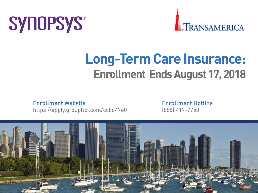# **SYNOPSYS®**



# **Long-Term Care Insurance: Enrollment Ends August 17, 2018**

Enrollment Website Enrollment Hotline

https://apply.groupltci.com/ccbd47e0 (888) 417-7750

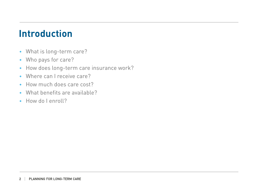#### **Introduction**

- What is long-term care?
- Who pays for care?
- How does long-term care insurance work?
- Where can I receive care?
- How much does care cost?
- What benefits are available?
- How do I enroll?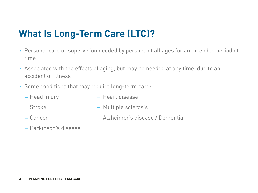### **What Is Long-Term Care (LTC)?**

- Personal care or supervision needed by persons of all ages for an extended period of time
- Associated with the effects of aging, but may be needed at any time, due to an accident or illness
- Some conditions that may require long-term care:
	-
	- Head injury Heart disease
	-
	- Stroke Multiple sclerosis
	-
	- Cancer Alzheimer's disease / Dementia
	- Parkinson's disease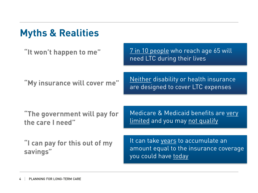## **Myths & Realities**

**"It won't happen to me"**

7 in 10 people who reach age 65 will need LTC during their lives

**"My insurance will cover me"**

Neither disability or health insurance are designed to cover LTC expenses

**"The government will pay for the care I need"**

Medicare & Medicaid benefits are very limited and you may not qualify

**"I can pay for this out of my savings"**

It can take years to accumulate an amount equal to the insurance coverage you could have today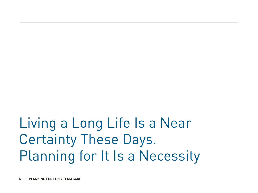# Living a Long Life Is a Near Certainty These Days. Planning for It Is a Necessity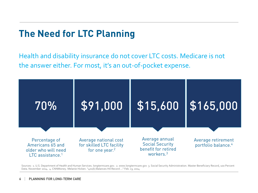### **The Need for LTC Planning**

Health and disability insurance do not cover LTC costs. Medicare is not the answer either. For most, it's an out-of-pocket expense.



Sources: 1. U.S. Department of Health and Human Services. longtermcare.gov. 2. www.longtermcare.gov 3. Social Security Administration. Master Beneficiary Record, 100 Percent Data. November 2014. 4. CNNMoney. Melanie Hicken. "401(k) Balances Hit Record …" Feb. 13, 2014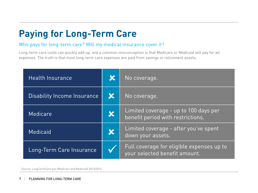## **Paying for Long-Term Care**

#### Who pays for long-term care? Will my medical insurance cover it?

Long-term care costs can quickly add up, and a common misconception is that Medicare or Medicaid will pay for all expenses. The truth is that most long-term care expenses are paid from savings or retirement assets.

| <b>Health Insurance</b>     | $\overline{\mathbf{x}}$ | No coverage.                                                               |
|-----------------------------|-------------------------|----------------------------------------------------------------------------|
| Disability Income Insurance | K                       | No coverage.                                                               |
| <b>Medicare</b>             | $\boldsymbol{\chi}$     | Limited coverage - up to 100 days per<br>benefit period with restrictions. |
| Medicaid                    | X                       | Limited coverage - after you've spent<br>down your assets.                 |
| Long-Term Care Insurance    |                         | Full coverage for eligible expenses up to<br>your selected benefit amount. |

Source: LongTermCare.gov (Medicare and Medicaid) 2013/2014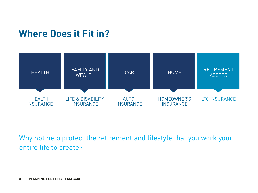#### **Where Does it Fit in?**



Why not help protect the retirement and lifestyle that you work your entire life to create?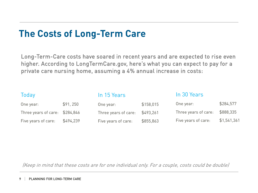#### **The Costs of Long-Term Care**

Long-Term-Care costs have soared in recent years and are expected to rise even higher. According to LongTermCare.gov, here's what you can expect to pay for a private care nursing home, assuming a 4% annual increase in costs:

| Today                          |           | In 15 Years          |           | In 30 Years          |             |
|--------------------------------|-----------|----------------------|-----------|----------------------|-------------|
| One year:                      | \$91, 250 | One year:            | \$158,015 | One year:            | \$284,577   |
| Three years of care: \$284,846 |           | Three years of care: | \$493,261 | Three years of care: | \$888,335   |
| Five years of care:            | \$494,239 | Five years of care:  | \$855,863 | Five years of care:  | \$1,541,361 |

(Keep in mind that these costs are for one individual only. For a couple, costs could be double)

#### 9 | PLANNING FOR LONG-TERM CARE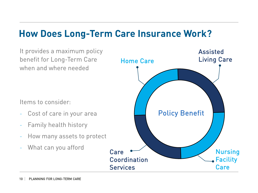#### **How Does Long-Term Care Insurance Work?**

It provides a maximum policy benefit for Long-Term Care when and where needed

Items to consider:

- Cost of care in your area
- Family health history
- How many assets to protect
- What can you afford

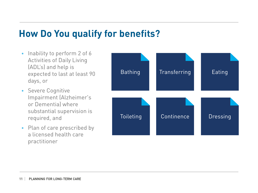#### **How Do You qualify for benefits?**

- Inability to perform 2 of 6 Activities of Daily Living (ADL's) and help is expected to last at least 90 days, or
- Severe Cognitive Impairment (Alzheimer's or Dementia) where substantial supervision is required, and
- Plan of care prescribed by a licensed health care practitioner

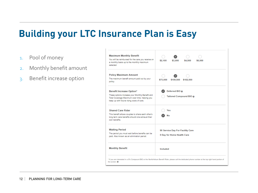#### **Building your LTC Insurance Plan is Easy**

- 1. Pool of money
- 2. Monthly benefit amount
- 3. Benefit increase option

| <b>Maximum Monthly Benefit</b><br>You will be reimbursed for the care you receive on<br>a monthly basis up to the monthly maximum<br>selected                                        | \$2,100<br>\$3,000<br>\$4,500<br>\$6,000                       |  |  |
|--------------------------------------------------------------------------------------------------------------------------------------------------------------------------------------|----------------------------------------------------------------|--|--|
| <b>Policy Maximum Amount</b><br>The maximum benefit amount paid out by your<br>policy.                                                                                               | \$73,000<br>\$109,500<br>\$182,500                             |  |  |
| Benefit Increase Option*<br>These options increase your Monthly Benefit and<br>Total Coverage Maximum over time, helping you<br>keep up with future rising costs of care.            | Deferred BIO @<br>Tailored Compound BIO @                      |  |  |
| <b>Shared Care Rider</b><br>This benefit allows couples to share each other's<br>long term care benefits should one exhaust their<br>own benefits.                                   | Yes<br>Nο                                                      |  |  |
| <b>Waiting Period</b><br>The period you must wait before benefits can be<br>paid. Also known as an elimination period.                                                               | 90 Service Day For Facility Care<br>0 Day for Home Health Care |  |  |
| <b>Monthly Benefit</b>                                                                                                                                                               | Included                                                       |  |  |
| * If you are interested in a 5% Compound BIO or the Nonforfeiture Benefit Rider, please call the dedicated phone number at the top right hand portion of<br>the screen. <sup>9</sup> |                                                                |  |  |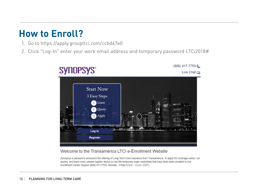- 1. Go to https://apply.groupltci.com/ccbd47e0
- 2. Click "Log-In" enter your work email address and temporary password LTCi2018#



#### Welcome to the Transamerica LTCI e-Enrollment Website

Synopsys is pleased to announce the offering of Long-Term Care Insurance from Transamerica. To apply for coverage online, run quotes, and learn more, please register above or use the temporary login credentials that have been been emailed to you. Enrollment Center Support (888) 417-7750, Monday - Friday 8 a.m. - 5 p.m. (CST)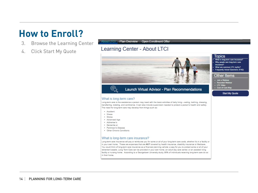- 3. Browse the Learning Center
- 4. Click Start My Quote

About LTCI Plan Overview | Open Enrollment Offer

#### Learning Center - About LTCI



**Launch Virtual Advisor - Plan Recommendations** 

#### What is long-term care?

(G)

Long-term care is the assistance a person may need with the basic activities of daily living - eating, bathing, dressing, transferring, toileting, and continence. It can also include supervision needed to protect a person's health and safety. The need for long-term care may develop from things such as:

- · Accident
- · Illness
- · Stroke
- · Advanced Age
- · Alzheimer's
- · Dementia or
- · Parkinson's Disease
- . Other Chronic Conditions

#### What is long-term care insurance?

Long-term care insurance will pay or reimburse you for some or all of your long-term care costs, whether it's in a facility or in your own home. These are expenses that are NOT covered by health insurance, disability insurance or Medicare. You could think of long-term care insurance as a financial planning vehicle; a way for you to protect some or all of your retirement assets. Long Term Care can be provided in your own home, an adult day care center, or an assisted living facility or nursing home. According to a Georgetown University study, 86% of individuals receiving long-term care do so in their home.

#### Topics

- What is long-term care insurance? Why people own long-term care insurance?
- What are common LTC myths? Frequently Asked Questions (FAQ)
- 

#### Other Items

- Join a Webinar<br>- Recorded Webinar<br>- LTC Video
- 
- 
- Cost of Care Map

#### **Start My Quote**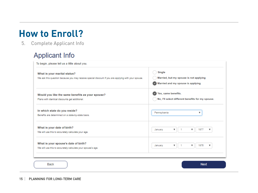5. Complete Applicant Info

#### **Applicant Info**

| What is your marital status?<br>We ask this question because you may receive special discount if you are applying with your spouse. | Single<br>Married, but my spouse is not applying                                                              |  |  |
|-------------------------------------------------------------------------------------------------------------------------------------|---------------------------------------------------------------------------------------------------------------|--|--|
| Would you like the same benefits as your spouse?<br>Plans with identical discounts get additional.                                  | Married and my spouse is applying<br>Yes, same benefits.<br>No, I'll select different benefits for my spouse. |  |  |
| In which state do you reside?<br>Benefits are determined on a state-by-state basis.                                                 | Pennsylvania<br>v                                                                                             |  |  |
| What is your date of birth?<br>We will use this to accurately calculate your age.                                                   | 1977<br>January<br>$\overline{\mathbf{v}}$<br>$\overline{\mathbf{v}}$                                         |  |  |
| What is your spouse's date of birth?<br>We will use this to accurately calculate your spouse's age.                                 | 1976<br>$\boldsymbol{\mathrm{v}}$<br>$\boldsymbol{\mathrm{v}}$<br>v<br>January                                |  |  |

15 | PLANNING FOR LONG-TERM CARE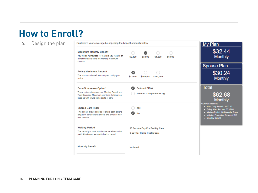6. Design the plan

Customize your coverage by adjusting the benefit amounts below.

|                                                                                                                                                    |                                          | .                                                                                                                                                                                              |
|----------------------------------------------------------------------------------------------------------------------------------------------------|------------------------------------------|------------------------------------------------------------------------------------------------------------------------------------------------------------------------------------------------|
| <b>Maximum Monthly Benefit</b><br>You will be reimbursed for the care you receive on<br>a monthly basis up to the monthly maximum<br>selected.     | \$4,500<br>\$6,000<br>\$2,100<br>\$3,000 | \$32.44<br><b>Monthly</b>                                                                                                                                                                      |
|                                                                                                                                                    |                                          | <b>Spouse Plan</b>                                                                                                                                                                             |
| <b>Policy Maximum Amount</b><br>The maximum benefit amount paid out by your<br>policy.                                                             | \$73,000<br>\$109,500<br>\$182,500       | \$30.24<br><b>Monthly</b>                                                                                                                                                                      |
| Benefit Increase Option*                                                                                                                           | Deferred BIO @                           | <b>Total</b>                                                                                                                                                                                   |
| These options increase your Monthly Benefit and<br>Total Coverage Maximum over time, helping you<br>keep up with future rising costs of care.      | Tailored Compound BIO @                  | \$62.68<br><b>Monthly</b>                                                                                                                                                                      |
| <b>Shared Care Rider</b><br>This benefit allows couples to share each other's<br>long term care benefits should one exhaust their<br>own benefits. | Yes<br>No                                | <b>Our Plan Includes:</b><br>. Max. Daily Benefit: \$100.00<br>Policy Max. Amount: \$73,000<br>. Waiting Period: 90 Calendar Days<br>. Inflation Protection: Deferred BIO<br>• Monthly Benefit |
| <b>Waiting Period</b>                                                                                                                              | 90 Service Day For Facility Care         |                                                                                                                                                                                                |
| The period you must wait before benefits can be<br>paid. Also known as an elimination period.                                                      | 0 Day for Home Health Care               |                                                                                                                                                                                                |
| <b>Monthly Benefit</b>                                                                                                                             | Included                                 |                                                                                                                                                                                                |
|                                                                                                                                                    |                                          |                                                                                                                                                                                                |

My Plan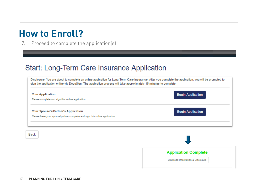7. Proceed to complete the application(s)

#### Start: Long-Term Care Insurance Application

Disclosure: You are about to complete an online application for Long-Term Care Insurance. After you complete the application, you will be prompted to sign the application online via DocuSign. The application process will take approximately 15 minutes to complete.

| <b>Your Application</b><br>Please complete and sign this online application.                                      | <b>Begin Application</b> |
|-------------------------------------------------------------------------------------------------------------------|--------------------------|
| Your Spouse's/Partner's Application<br>Please have your spouse/partner complete and sign this online application. | <b>Begin Application</b> |

Back

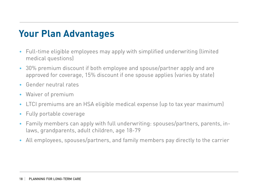### **Your Plan Advantages**

- Full-time eligible employees may apply with simplified underwriting (limited medical questions)
- 30% premium discount if both employee and spouse/partner apply and are approved for coverage, 15% discount if one spouse applies (varies by state)
- Gender neutral rates
- Waiver of premium
- LTCI premiums are an HSA eligible medical expense (up to tax year maximum)
- Fully portable coverage
- Family members can apply with full underwriting: spouses/partners, parents, inlaws, grandparents, adult children, age 18-79
- All employees, spouses/partners, and family members pay directly to the carrier